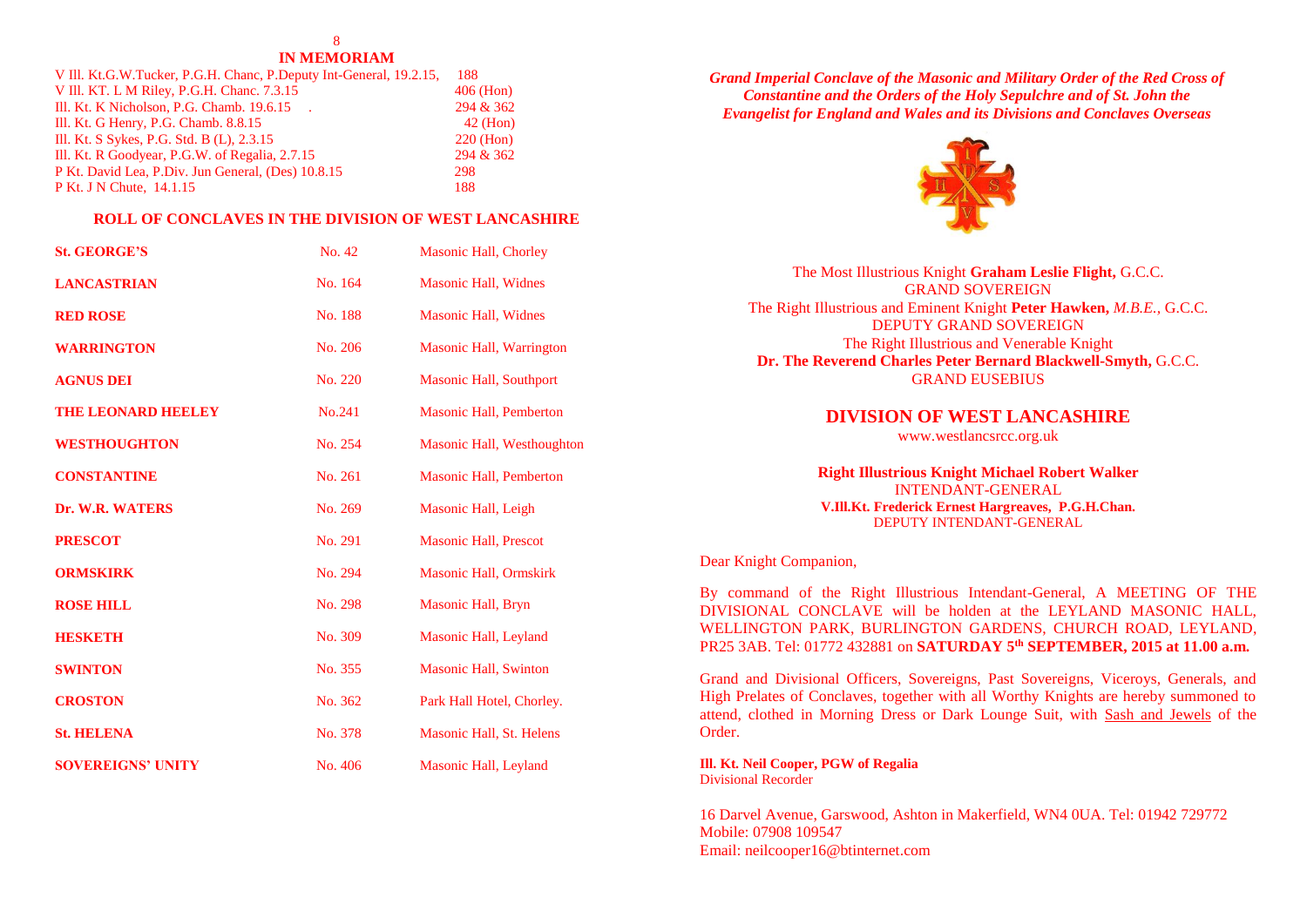# 8

## **IN MEMORIAM**

| V III. Kt.G.W.Tucker, P.G.H. Chanc, P.Deputy Int-General, 19.2.15, | 188         |
|--------------------------------------------------------------------|-------------|
| V Ill. KT. L M Riley, P.G.H. Chanc. 7.3.15                         | $406$ (Hon) |
| Ill. Kt. K Nicholson, P.G. Chamb. 19.6.15.                         | 294 & 362   |
| Ill. Kt. G Henry, P.G. Chamb. 8.8.15                               | $42$ (Hon)  |
| Ill. Kt. S Sykes, P.G. Std. B (L), 2.3.15                          | $220$ (Hon) |
| Ill. Kt. R Goodyear, P.G.W. of Regalia, 2.7.15                     | 294 & 362   |
| P Kt. David Lea, P.Div. Jun General, (Des) 10.8.15                 | 298         |
| P Kt. J N Chute, 14.1.15                                           | 188         |

## **ROLL OF CONCLAVES IN THE DIVISION OF WEST LANCASHIRE**

| <b>St. GEORGE'S</b>       | No. 42  | Masonic Hall, Chorley          |
|---------------------------|---------|--------------------------------|
| <b>LANCASTRIAN</b>        | No. 164 | <b>Masonic Hall, Widnes</b>    |
| <b>RED ROSE</b>           | No. 188 | <b>Masonic Hall, Widnes</b>    |
| <b>WARRINGTON</b>         | No. 206 | Masonic Hall, Warrington       |
| <b>AGNUS DEI</b>          | No. 220 | <b>Masonic Hall, Southport</b> |
| <b>THE LEONARD HEELEY</b> | No.241  | <b>Masonic Hall, Pemberton</b> |
| <b>WESTHOUGHTON</b>       | No. 254 | Masonic Hall, Westhoughton     |
| <b>CONSTANTINE</b>        | No. 261 | <b>Masonic Hall, Pemberton</b> |
| Dr. W.R. WATERS           | No. 269 | Masonic Hall, Leigh            |
| <b>PRESCOT</b>            | No. 291 | <b>Masonic Hall, Prescot</b>   |
| <b>ORMSKIRK</b>           | No. 294 | <b>Masonic Hall, Ormskirk</b>  |
| <b>ROSE HILL</b>          | No. 298 | Masonic Hall, Bryn             |
| HESKETH                   | No. 309 | Masonic Hall, Leyland          |
| <b>SWINTON</b>            | No. 355 | <b>Masonic Hall, Swinton</b>   |
| <b>CROSTON</b>            | No. 362 | Park Hall Hotel, Chorley.      |
| <b>St. HELENA</b>         | No. 378 | Masonic Hall, St. Helens       |
| <b>SOVEREIGNS' UNITY</b>  | No. 406 | Masonic Hall, Leyland          |

*Grand Imperial Conclave of the Masonic and Military Order of the Red Cross of Constantine and the Orders of the Holy Sepulchre and of St. John the Evangelist for England and Wales and its Divisions and Conclaves Overseas*



| The Most Illustrious Knight Graham Leslie Flight, G.C.C.              |
|-----------------------------------------------------------------------|
| <b>GRAND SOVEREIGN</b>                                                |
| The Right Illustrious and Eminent Knight Peter Hawken, M.B.E., G.C.C. |
| DEPUTY GRAND SOVEREIGN                                                |
| The Right Illustrious and Venerable Knight                            |
| Dr. The Reverend Charles Peter Bernard Blackwell-Smyth, G.C.C.        |
| <b>GRAND EUSEBIUS</b>                                                 |
|                                                                       |

## **DIVISION OF WEST LANCASHIRE**

[www.westlancsrcc.org.uk](http://www.westlancsrcc.org.uk/)

## **Right Illustrious Knight Michael Robert Walker** INTENDANT-GENERAL **V.Ill.Kt. Frederick Ernest Hargreaves, P.G.H.Chan.** DEPUTY INTENDANT-GENERAL

## Dear Knight Companion,

By command of the Right Illustrious Intendant-General, A MEETING OF THE DIVISIONAL CONCLAVE will be holden at the LEYLAND MASONIC HALL, WELLINGTON PARK, BURLINGTON GARDENS, CHURCH ROAD, LEYLAND, PR25 3AB. [Tel: 01772](tel:01772) 432881 on **SATURDAY 5 th SEPTEMBER, 2015 at 11.00 a.m.**

Grand and Divisional Officers, Sovereigns, Past Sovereigns, Viceroys, Generals, and High Prelates of Conclaves, together with all Worthy Knights are hereby summoned to attend, clothed in Morning Dress or Dark Lounge Suit, with Sash and Jewels of the Order.

**Ill. Kt. Neil Cooper, PGW of Regalia** Divisional Recorder

16 Darvel Avenue, Garswood, Ashton in Makerfield, WN4 0UA. Tel: 01942 729772 Mobile: 07908 109547 Email: neilcooper16@btinternet.com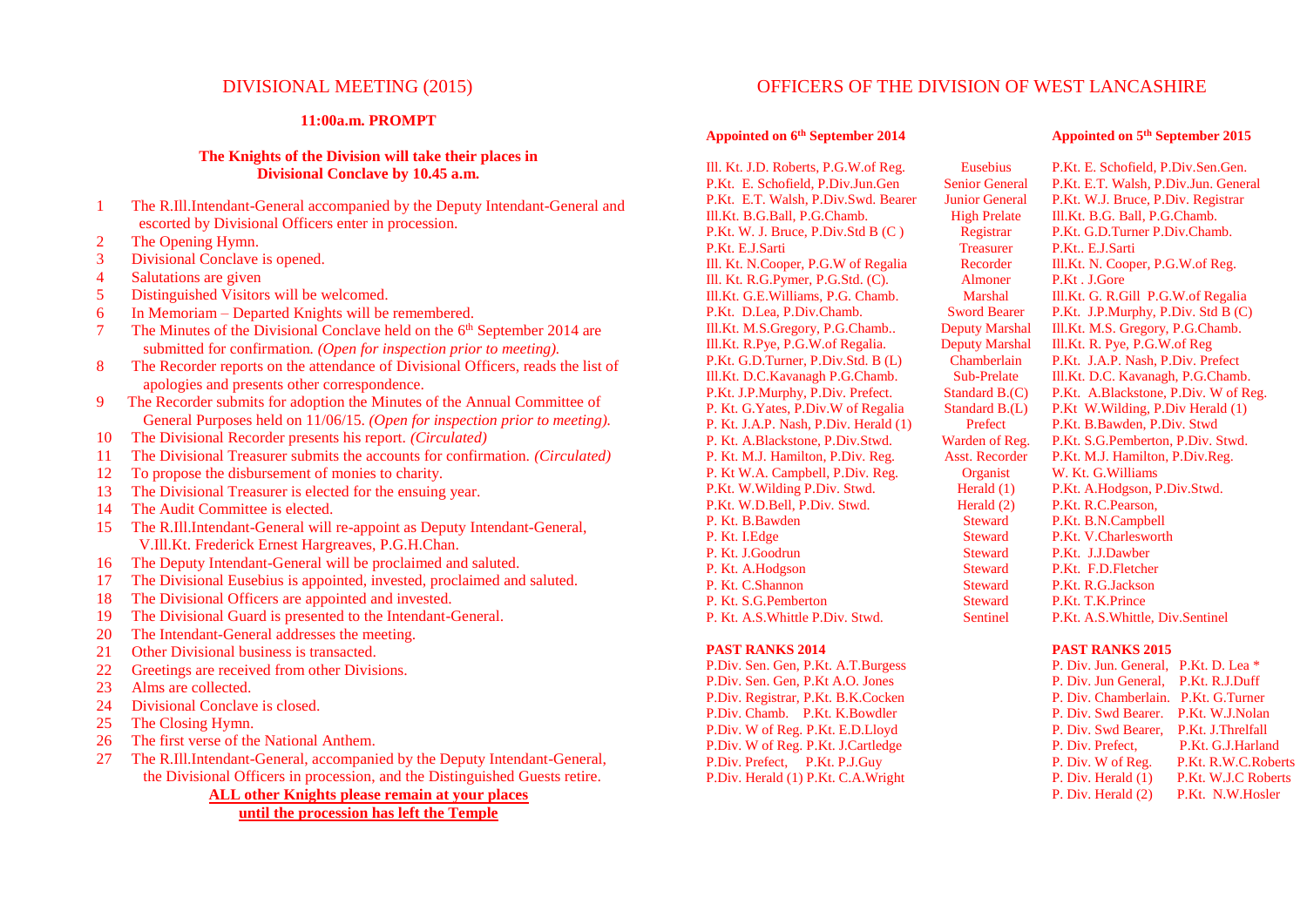## **11:00a.m. PROMPT**

## **The Knights of the Division will take their places in Divisional Conclave by 10.45 a.m.**

- 1 The R.Ill.Intendant-General accompanied by the Deputy Intendant-General and escorted by Divisional Officers enter in procession.
- 2 The Opening Hymn.
- 3 Divisional Conclave is opened.
- 4 Salutations are given
- 5 Distinguished Visitors will be welcomed.
- 6 In Memoriam Departed Knights will be remembered.
- 7 The Minutes of the Divisional Conclave held on the 6<sup>th</sup> September 2014 are submitted for confirmation*. (Open for inspection prior to meeting).*
- 8 The Recorder reports on the attendance of Divisional Officers, reads the list of apologies and presents other correspondence.
- 9 The Recorder submits for adoption the Minutes of the Annual Committee of General Purposes held on 11/06/15. *(Open for inspection prior to meeting).*
- 10 The Divisional Recorder presents his report. *(Circulated)*
- 11 The Divisional Treasurer submits the accounts for confirmation. *(Circulated)*
- 12 To propose the disbursement of monies to charity.
- 13 The Divisional Treasurer is elected for the ensuing year.
- 14 The Audit Committee is elected.
- 15 The R.Ill.Intendant-General will re-appoint as Deputy Intendant-General, V.Ill.Kt. Frederick Ernest Hargreaves, P.G.H.Chan.
- 16 The Deputy Intendant-General will be proclaimed and saluted.
- 17 The Divisional Eusebius is appointed, invested, proclaimed and saluted.
- 18 The Divisional Officers are appointed and invested.
- 19 The Divisional Guard is presented to the Intendant-General.
- 20 The Intendant-General addresses the meeting.
- 21 Other Divisional business is transacted.
- 22 Greetings are received from other Divisions.
- 23 Alms are collected.
- 24 Divisional Conclave is closed.
- 25 The Closing Hymn.
- 26 The first verse of the National Anthem.
- 27 The R.Ill.Intendant-General, accompanied by the Deputy Intendant-General, the Divisional Officers in procession, and the Distinguished Guests retire.

**ALL other Knights please remain at your places until the procession has left the Temple**

# DIVISIONAL MEETING (2015) OFFICERS OF THE DIVISION OF WEST LANCASHIRE

#### **Appointed on 6 th September 2014**

Ill. Kt. J.D. Roberts, P.G.W.of Reg. P.Kt. E. Schofield, P.Div.Jun.Gen P.Kt. E.T. Walsh, P.Div.Swd. Bearer Ill.Kt. B.G.Ball, P.G.Chamb. P.Kt. W. J. Bruce, P.Div.Std B (C ) P.Kt. E.J.Sarti Ill. Kt. N.Cooper, P.G.W of Regalia Ill. Kt. R.G.Pymer, P.G.Std. (C). Ill.Kt. G.E.Williams, P.G. Chamb. P.Kt. D.Lea, P.Div.Chamb. Ill.Kt. M.S.Gregory, P.G.Chamb.. Ill.Kt. R.Pye, P.G.W.of Regalia. P.Kt. G.D.Turner, P.Div.Std. B (L) Ill.Kt. D.C.Kavanagh P.G.Chamb. P.Kt. J.P.Murphy, P.Div. Prefect. P. Kt. G.Yates, P.Div.W of Regalia P. Kt. J.A.P. Nash, P.Div. Herald (1) P. Kt. A.Blackstone, P.Div.Stwd. P. Kt. M.J. Hamilton, P.Div. Reg. P. Kt W.A. Campbell, P.Div. Reg. P.Kt. W.Wilding P.Div. Stwd. P.Kt. W.D.Bell, P.Div. Stwd. P. Kt. B.Bawden P. Kt. I.Edge P. Kt. J.Goodrun P. Kt. A.Hodgson P. Kt. C.Shannon P. Kt. S.G.Pemberton P. Kt. A.S.Whittle P.Div. Stwd.

## **PAST RANKS 2014**

P.Div. Sen. Gen, P.Kt. A.T.Burgess P.Div. Sen. Gen, P.Kt A.O. Jones P.Div. Registrar, P.Kt. B.K.Cocken P.Div. Chamb. P.Kt. K.Bowdler P.Div. W of Reg. P.Kt. E.D.Lloyd P.Div. W of Reg. P.Kt. J.Cartledge P.Div. Prefect, P.Kt. P.J.Guy P.Div. Herald (1) P.Kt. C.A.Wright

Eusebius Senior General Junior General High Prelate Registrar Treasurer Recorder Almoner Marshal Sword Bearer Deputy Marshal Deputy Marshal **Chamberlain** Sub-Prelate Standard B.(C) Standard B.(L) Prefect Warden of Reg. Asst. Recorder **Organist** Herald (1) Herald (2) **Steward Steward Steward Steward Steward Steward** Sentinel

P.Kt. E. Schofield, P.Div.Sen.Gen. P.Kt. E.T. Walsh, P.Div.Jun. General P.Kt. W.J. Bruce, P.Div. Registrar Ill.Kt. B.G. Ball, P.G.Chamb. P.Kt. G.D.Turner P.Div.Chamb. P.Kt.. E.J.Sarti Ill.Kt. N. Cooper, P.G.W.of Reg. P.Kt . J.Gore Ill.Kt. G. R.Gill P.G.W.of Regalia P.Kt. J.P.Murphy, P.Div. Std B (C) Ill.Kt. M.S. Gregory, P.G.Chamb. Ill.Kt. R. Pye, P.G.W.of Reg P.Kt. J.A.P. Nash, P.Div. Prefect Ill.Kt. D.C. Kavanagh, P.G.Chamb. P.Kt. A.Blackstone, P.Div. W of Reg. P.Kt W.Wilding, P.Div Herald (1) P.Kt. B.Bawden, P.Div. Stwd P.Kt. S.G.Pemberton, P.Div. Stwd. P.Kt. M.J. Hamilton, P.Div.Reg. W. Kt. G.Williams P.Kt. A.Hodgson, P.Div.Stwd. P.Kt. R.C.Pearson, P.Kt. B.N.Campbell P.Kt. V.Charlesworth P.Kt. J.J.Dawber P.Kt. F.D.Fletcher P.Kt. R.G.Jackson P.Kt. T.K.Prince P.Kt. A.S.Whittle, Div.Sentinel

## **PAST RANKS 2015**

P. Div. Jun. General, P.Kt. D. Lea \* P. Div. Jun General, P.Kt. R.J.Duff P. Div. Chamberlain. P.Kt. G.Turner P. Div. Swd Bearer. P.Kt. W.J.Nolan P. Div. Swd Bearer, P.Kt. J.Threlfall P. Div. Prefect, P.Kt. G.J.Harland P. Div. W of Reg. P.Kt. R.W.C.Roberts P. Div. Herald (1) P.Kt. W.J.C Roberts P. Div. Herald (2) P.Kt. N.W.Hosler

#### **Appointed on 5 th September 2015**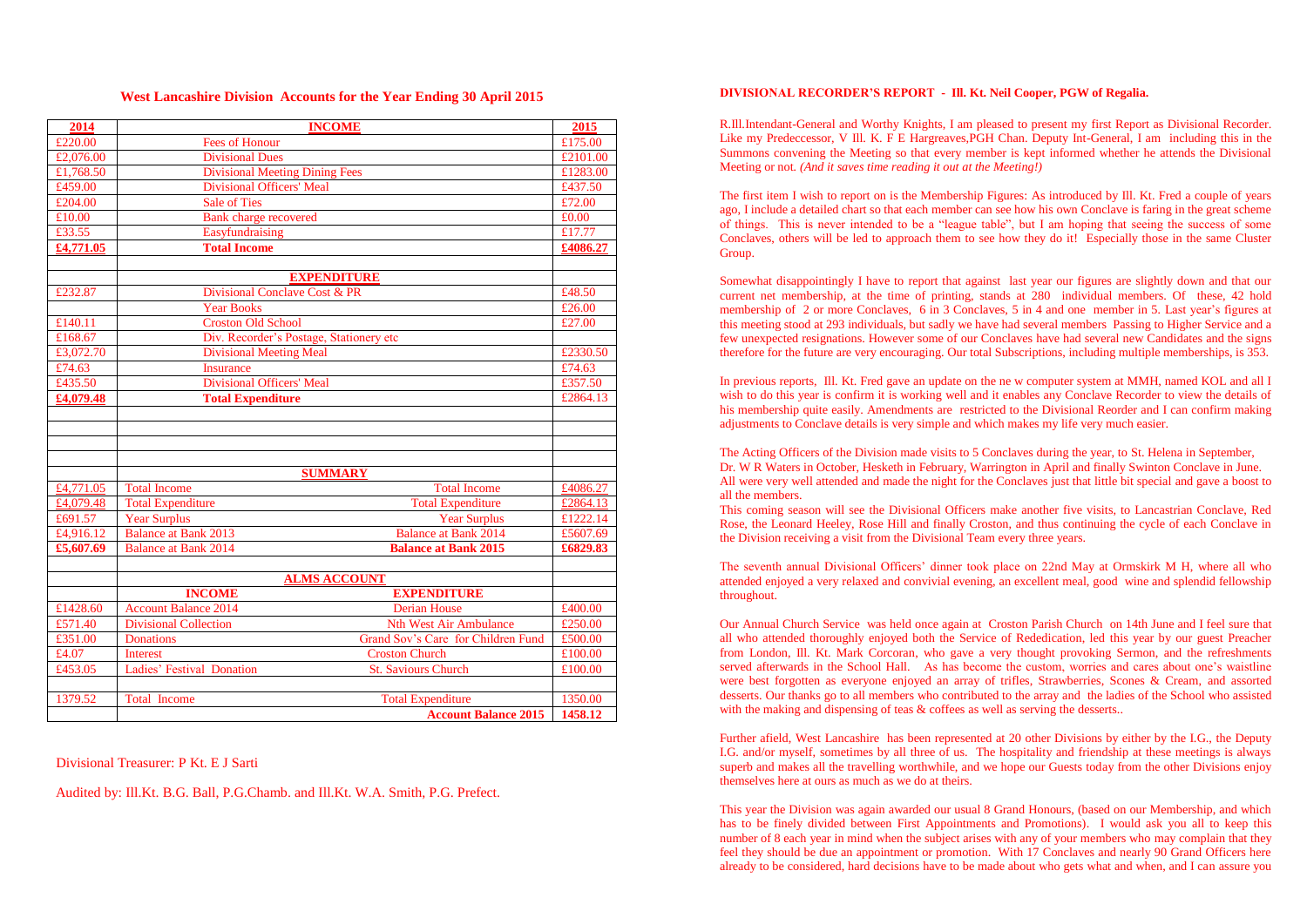#### **West Lancashire Division Accounts for the Year Ending 30 April 2015**

| 2014      | <b>INCOME</b>                                              |                                    | 2015                 |  |  |  |  |  |  |  |
|-----------|------------------------------------------------------------|------------------------------------|----------------------|--|--|--|--|--|--|--|
| £220.00   | <b>Fees of Honour</b>                                      |                                    | £175.00              |  |  |  |  |  |  |  |
| £2,076.00 | <b>Divisional Dues</b>                                     |                                    | £2101.00             |  |  |  |  |  |  |  |
| £1.768.50 | <b>Divisional Meeting Dining Fees</b>                      |                                    | £1283.00             |  |  |  |  |  |  |  |
| £459.00   | <b>Divisional Officers' Meal</b>                           |                                    | £437.50              |  |  |  |  |  |  |  |
| £204.00   | <b>Sale of Ties</b>                                        |                                    | £72.00               |  |  |  |  |  |  |  |
| £10.00    | <b>Bank</b> charge recovered                               |                                    | £0.00                |  |  |  |  |  |  |  |
| £33.55    | Easyfundraising                                            |                                    | £17.77               |  |  |  |  |  |  |  |
| £4,771.05 | <b>Total Income</b>                                        |                                    | £4086.27             |  |  |  |  |  |  |  |
|           |                                                            |                                    |                      |  |  |  |  |  |  |  |
|           | <b>EXPENDITURE</b>                                         |                                    |                      |  |  |  |  |  |  |  |
| £232.87   | Divisional Conclave Cost & PR                              |                                    | £48.50               |  |  |  |  |  |  |  |
|           | <b>Year Books</b>                                          |                                    | £26.00               |  |  |  |  |  |  |  |
| £140.11   | <b>Croston Old School</b>                                  |                                    | £27.00               |  |  |  |  |  |  |  |
| £168.67   | Div. Recorder's Postage, Stationery etc                    |                                    |                      |  |  |  |  |  |  |  |
| £3,072.70 | <b>Divisional Meeting Meal</b>                             |                                    | £2330.50             |  |  |  |  |  |  |  |
| £74.63    | <b>Insurance</b>                                           |                                    | £74.63               |  |  |  |  |  |  |  |
| £435.50   | <b>Divisional Officers' Meal</b>                           |                                    | £357.50              |  |  |  |  |  |  |  |
| £4,079.48 | <b>Total Expenditure</b><br>£2864.13                       |                                    |                      |  |  |  |  |  |  |  |
|           |                                                            |                                    |                      |  |  |  |  |  |  |  |
|           |                                                            |                                    |                      |  |  |  |  |  |  |  |
|           |                                                            |                                    |                      |  |  |  |  |  |  |  |
|           |                                                            |                                    |                      |  |  |  |  |  |  |  |
|           | <b>SUMMARY</b>                                             |                                    |                      |  |  |  |  |  |  |  |
| £4,771.05 | <b>Total Income</b>                                        | <b>Total Income</b>                | £4086.27<br>£2864.13 |  |  |  |  |  |  |  |
| £4,079.48 | <b>Total Expenditure</b>                                   | <b>Total Expenditure</b>           |                      |  |  |  |  |  |  |  |
| £691.57   | <b>Year Surplus</b>                                        | <b>Year Surplus</b>                | £1222.14             |  |  |  |  |  |  |  |
| £4,916.12 | <b>Balance at Bank 2013</b>                                | <b>Balance at Bank 2014</b>        | £5607.69<br>£6829.83 |  |  |  |  |  |  |  |
| £5,607.69 | <b>Balance at Bank 2015</b><br><b>Balance at Bank 2014</b> |                                    |                      |  |  |  |  |  |  |  |
|           |                                                            |                                    |                      |  |  |  |  |  |  |  |
|           | <b>ALMS ACCOUNT</b>                                        |                                    |                      |  |  |  |  |  |  |  |
|           | <b>INCOME</b>                                              | <b>EXPENDITURE</b>                 |                      |  |  |  |  |  |  |  |
| £1428.60  | <b>Account Balance 2014</b>                                | <b>Derian House</b>                | £400.00              |  |  |  |  |  |  |  |
| £571.40   | <b>Divisional Collection</b>                               | <b>Nth West Air Ambulance</b>      | £250.00              |  |  |  |  |  |  |  |
| £351.00   | <b>Donations</b>                                           | Grand Sov's Care for Children Fund | £500.00              |  |  |  |  |  |  |  |
| £4.07     | <b>Interest</b>                                            | <b>Croston Church</b>              | £100.00              |  |  |  |  |  |  |  |
| £453.05   | Ladies' Festival Donation                                  | <b>St. Saviours Church</b>         | £100.00              |  |  |  |  |  |  |  |
|           |                                                            |                                    |                      |  |  |  |  |  |  |  |
| 1379.52   | <b>Total Income</b>                                        | <b>Total Expenditure</b>           | 1350.00              |  |  |  |  |  |  |  |
|           |                                                            | <b>Account Balance 2015</b>        | 1458.12              |  |  |  |  |  |  |  |

Divisional Treasurer: P Kt. E J Sarti

Audited by: Ill.Kt. B.G. Ball, P.G.Chamb. and Ill.Kt. W.A. Smith, P.G. Prefect.

#### **DIVISIONAL RECORDER'S REPORT - Ill. Kt. Neil Cooper, PGW of Regalia.**

R.Ill.Intendant-General and Worthy Knights, I am pleased to present my first Report as Divisional Recorder. Like my Predeccessor, V Ill. K. F E Hargreaves,PGH Chan. Deputy Int-General, I am including this in the Summons convening the Meeting so that every member is kept informed whether he attends the Divisional Meeting or not*. (And it saves time reading it out at the Meeting!)*

The first item I wish to report on is the Membership Figures: As introduced by Ill. Kt. Fred a couple of years ago, I include a detailed chart so that each member can see how his own Conclave is faring in the great scheme of things. This is never intended to be a "league table", but I am hoping that seeing the success of some Conclaves, others will be led to approach them to see how they do it! Especially those in the same Cluster Group.

Somewhat disappointingly I have to report that against last year our figures are slightly down and that our current net membership, at the time of printing, stands at 280 individual members. Of these, 42 hold membership of 2 or more Conclaves, 6 in 3 Conclaves, 5 in 4 and one member in 5*.* Last year's figures at this meeting stood at 293 individuals, but sadly we have had several members Passing to Higher Service and a few unexpected resignations. However some of our Conclaves have had several new Candidates and the signs therefore for the future are very encouraging. Our total Subscriptions, including multiple memberships, is 353.

In previous reports, Ill. Kt. Fred gave an update on the ne w computer system at MMH, named KOL and all I wish to do this year is confirm it is working well and it enables any Conclave Recorder to view the details of his membership quite easily. Amendments are restricted to the Divisional Reorder and I can confirm making adjustments to Conclave details is very simple and which makes my life very much easier.

The Acting Officers of the Division made visits to 5 Conclaves during the year, to St. Helena in September, Dr. W R Waters in October, Hesketh in February, Warrington in April and finally Swinton Conclave in June. All were very well attended and made the night for the Conclaves just that little bit special and gave a boost to all the members.

This coming season will see the Divisional Officers make another five visits, to Lancastrian Conclave, Red Rose, the Leonard Heeley, Rose Hill and finally Croston, and thus continuing the cycle of each Conclave in the Division receiving a visit from the Divisional Team every three years.

The seventh annual Divisional Officers' dinner took place on 22nd May at Ormskirk M H, where all who attended enjoyed a very relaxed and convivial evening, an excellent meal, good wine and splendid fellowship throughout.

Our Annual Church Service was held once again at Croston Parish Church on 14th June and I feel sure that all who attended thoroughly enjoyed both the Service of Rededication, led this year by our guest Preacher from London, Ill. Kt. Mark Corcoran, who gave a very thought provoking Sermon, and the refreshments served afterwards in the School Hall. As has become the custom, worries and cares about one's waistline were best forgotten as everyone enjoyed an array of trifles, Strawberries, Scones & Cream, and assorted desserts. Our thanks go to all members who contributed to the array and the ladies of the School who assisted with the making and dispensing of teas & coffees as well as serving the desserts..

Further afield, West Lancashire has been represented at 20 other Divisions by either by the I.G., the Deputy I.G. and/or myself, sometimes by all three of us. The hospitality and friendship at these meetings is always superb and makes all the travelling worthwhile, and we hope our Guests today from the other Divisions enjoy themselves here at ours as much as we do at theirs.

This year the Division was again awarded our usual 8 Grand Honours, (based on our Membership, and which has to be finely divided between First Appointments and Promotions). I would ask you all to keep this number of 8 each year in mind when the subject arises with any of your members who may complain that they feel they should be due an appointment or promotion. With 17 Conclaves and nearly 90 Grand Officers here already to be considered, hard decisions have to be made about who gets what and when, and I can assure you